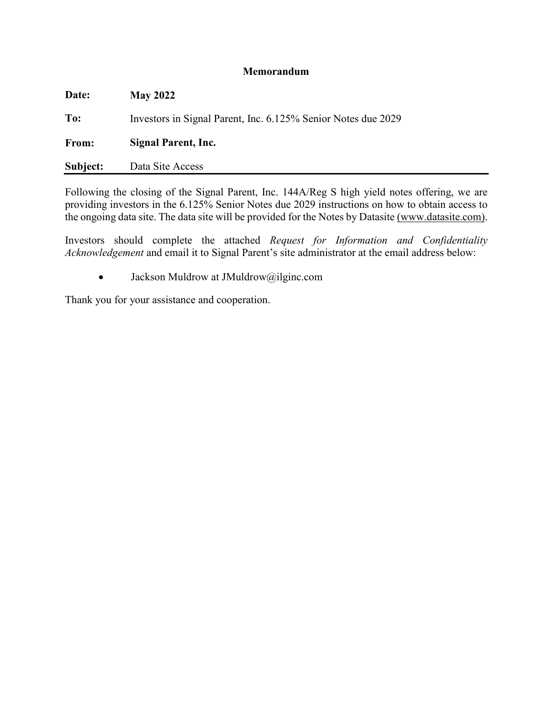## **Memorandum**

| Date:    | <b>May 2022</b>                                               |  |
|----------|---------------------------------------------------------------|--|
| To:      | Investors in Signal Parent, Inc. 6.125% Senior Notes due 2029 |  |
| From:    | Signal Parent, Inc.                                           |  |
| Subject: | Data Site Access                                              |  |

Following the closing of the Signal Parent, Inc. 144A/Reg S high yield notes offering, we are providing investors in the 6.125% Senior Notes due 2029 instructions on how to obtain access to the ongoing data site. The data site will be provided for the Notes by Datasite [\(www.datasite.com\).](http://(www.datasite.com)/)

Investors should complete the attached *Request for Information and Confidentiality Acknowledgement* and email it to Signal Parent's site administrator at the email address below:

• Jackson Muldrow at JMuldrow@ilginc.com

Thank you for your assistance and cooperation.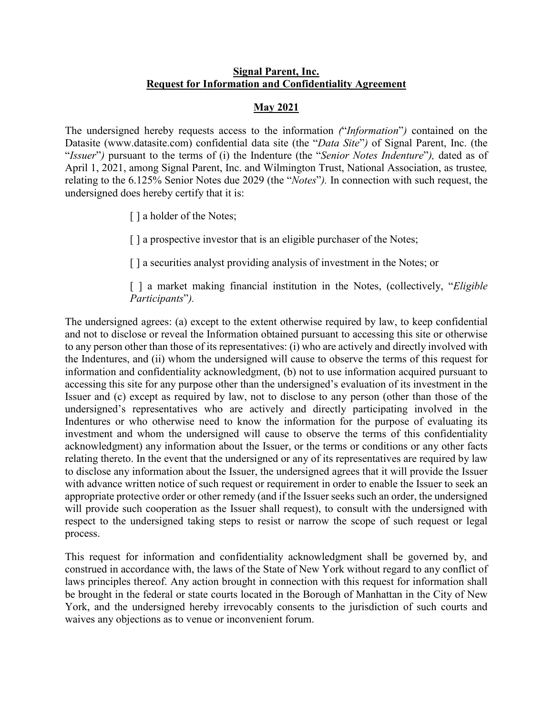## **Signal Parent, Inc. Request for Information and Confidentiality Agreement**

## **May 2021**

The undersigned hereby requests access to the information *(*"*Information*"*)* contained on the Datasite (www.datasite.com) confidential data site (the "*Data Site*"*)* of Signal Parent, Inc. (the "*Issuer*"*)* pursuant to the terms of (i) the Indenture (the "*Senior Notes Indenture*"*),* dated as of April 1, 2021, among Signal Parent, Inc. and Wilmington Trust, National Association, as trustee*,* relating to the 6.125% Senior Notes due 2029 (the "*Notes*"*).* In connection with such request, the undersigned does hereby certify that it is:

[ ] a holder of the Notes;

[] a prospective investor that is an eligible purchaser of the Notes;

[] a securities analyst providing analysis of investment in the Notes; or

[ ] a market making financial institution in the Notes, (collectively, "*Eligible Participants*"*).*

The undersigned agrees: (a) except to the extent otherwise required by law, to keep confidential and not to disclose or reveal the Information obtained pursuant to accessing this site or otherwise to any person other than those of its representatives: (i) who are actively and directly involved with the Indentures, and (ii) whom the undersigned will cause to observe the terms of this request for information and confidentiality acknowledgment, (b) not to use information acquired pursuant to accessing this site for any purpose other than the undersigned's evaluation of its investment in the Issuer and (c) except as required by law, not to disclose to any person (other than those of the undersigned's representatives who are actively and directly participating involved in the Indentures or who otherwise need to know the information for the purpose of evaluating its investment and whom the undersigned will cause to observe the terms of this confidentiality acknowledgment) any information about the Issuer, or the terms or conditions or any other facts relating thereto. In the event that the undersigned or any of its representatives are required by law to disclose any information about the Issuer, the undersigned agrees that it will provide the Issuer with advance written notice of such request or requirement in order to enable the Issuer to seek an appropriate protective order or other remedy (and if the Issuer seeks such an order, the undersigned will provide such cooperation as the Issuer shall request), to consult with the undersigned with respect to the undersigned taking steps to resist or narrow the scope of such request or legal process.

This request for information and confidentiality acknowledgment shall be governed by, and construed in accordance with, the laws of the State of New York without regard to any conflict of laws principles thereof. Any action brought in connection with this request for information shall be brought in the federal or state courts located in the Borough of Manhattan in the City of New York, and the undersigned hereby irrevocably consents to the jurisdiction of such courts and waives any objections as to venue or inconvenient forum.